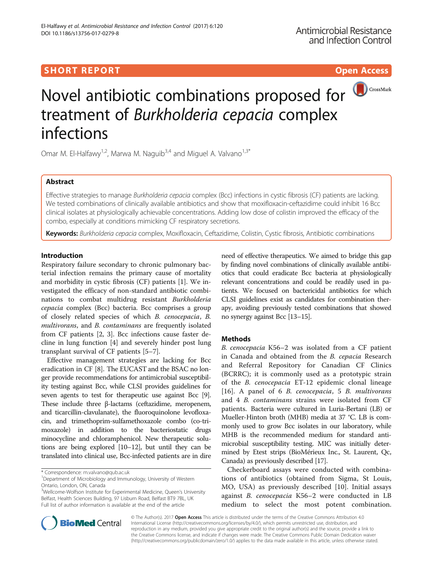# **SHORT REPORT SHORT CONSUMING THE CONSUMING THE CONSUMING THE CONSUMING THE CONSUMING THE CONSUMING THE CONSUMING THE CONSUMING THE CONSUMING THE CONSUMING THE CONSUMING THE CONSUMING THE CONSUMING THE CONSUMING THE CONS**



# Novel antibiotic combinations proposed for  $\bigcirc$  CrossMark treatment of Burkholderia cepacia complex infections

Omar M. El-Halfawy<sup>1,2</sup>, Marwa M. Naguib<sup>3,4</sup> and Miguel A. Valvano<sup>1,3\*</sup>

# Abstract

Effective strategies to manage Burkholderia cepacia complex (Bcc) infections in cystic fibrosis (CF) patients are lacking. We tested combinations of clinically available antibiotics and show that moxifloxacin-ceftazidime could inhibit 16 Bcc clinical isolates at physiologically achievable concentrations. Adding low dose of colistin improved the efficacy of the combo, especially at conditions mimicking CF respiratory secretions.

Keywords: Burkholderia cepacia complex, Moxifloxacin, Ceftazidime, Colistin, Cystic fibrosis, Antibiotic combinations

# Introduction

Respiratory failure secondary to chronic pulmonary bacterial infection remains the primary cause of mortality and morbidity in cystic fibrosis (CF) patients [\[1\]](#page-3-0). We investigated the efficacy of non-standard antibiotic combinations to combat multidrug resistant Burkholderia cepacia complex (Bcc) bacteria. Bcc comprises a group of closely related species of which B. cenocepacia, B. multivorans, and B. contaminans are frequently isolated from CF patients [\[2, 3](#page-3-0)]. Bcc infections cause faster decline in lung function [[4](#page-3-0)] and severely hinder post lung transplant survival of CF patients [\[5](#page-3-0)–[7](#page-3-0)].

Effective management strategies are lacking for Bcc eradication in CF [[8\]](#page-3-0). The EUCAST and the BSAC no longer provide recommendations for antimicrobial susceptibility testing against Bcc, while CLSI provides guidelines for seven agents to test for therapeutic use against Bcc [[9](#page-3-0)]. These include three β-lactams (ceftazidime, meropenem, and ticarcillin-clavulanate), the fluoroquinolone levofloxacin, and trimethoprim-sulfamethoxazole combo (co-trimoxazole) in addition to the bacteriostatic drugs minocycline and chloramphenicol. New therapeutic solutions are being explored [[10](#page-3-0)–[12](#page-3-0)], but until they can be translated into clinical use, Bcc-infected patients are in dire

need of effective therapeutics. We aimed to bridge this gap by finding novel combinations of clinically available antibiotics that could eradicate Bcc bacteria at physiologically relevant concentrations and could be readily used in patients. We focused on bactericidal antibiotics for which CLSI guidelines exist as candidates for combination therapy, avoiding previously tested combinations that showed no synergy against Bcc [\[13](#page-3-0)–[15\]](#page-3-0).

# Methods

B. cenocepacia K56–2 was isolated from a CF patient in Canada and obtained from the B. cepacia Research and Referral Repository for Canadian CF Clinics (BCRRC); it is commonly used as a prototypic strain of the B. cenocepacia ET-12 epidemic clonal lineage [[16\]](#page-3-0). A panel of 6 B. cenocepacia, 5 B. multivorans and 4 B. contaminans strains were isolated from CF patients. Bacteria were cultured in Luria-Bertani (LB) or Mueller-Hinton broth (MHB) media at 37 °C. LB is commonly used to grow Bcc isolates in our laboratory, while MHB is the recommended medium for standard antimicrobial susceptibility testing. MIC was initially determined by Etest strips (BioMérieux Inc., St. Laurent, Qc, Canada) as previously described [\[17\]](#page-3-0).

Checkerboard assays were conducted with combinations of antibiotics (obtained from Sigma, St Louis, MO, USA) as previously described [[10\]](#page-3-0). Initial assays against B. cenocepacia K56–2 were conducted in LB medium to select the most potent combination.



© The Author(s). 2017 Open Access This article is distributed under the terms of the Creative Commons Attribution 4.0 International License [\(http://creativecommons.org/licenses/by/4.0/](http://creativecommons.org/licenses/by/4.0/)), which permits unrestricted use, distribution, and reproduction in any medium, provided you give appropriate credit to the original author(s) and the source, provide a link to the Creative Commons license, and indicate if changes were made. The Creative Commons Public Domain Dedication waiver [\(http://creativecommons.org/publicdomain/zero/1.0/](http://creativecommons.org/publicdomain/zero/1.0/)) applies to the data made available in this article, unless otherwise stated.

<sup>\*</sup> Correspondence: [m.valvano@qub.ac.uk](mailto:m.valvano@qub.ac.uk) <sup>1</sup>

Department of Microbiology and Immunology, University of Western Ontario, London, ON, Canada

<sup>&</sup>lt;sup>3</sup>Wellcome-Wolfson Institute for Experimental Medicine, Queen's University Belfast, Health Sciences Building, 97 Lisburn Road, Belfast BT9 7BL, UK Full list of author information is available at the end of the article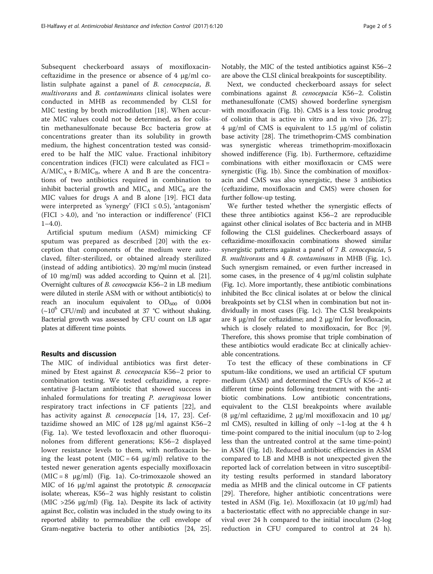Subsequent checkerboard assays of moxifloxacinceftazidime in the presence or absence of 4 μg/ml colistin sulphate against a panel of B. cenocepacia, B. multivorans and B. contaminans clinical isolates were conducted in MHB as recommended by CLSI for MIC testing by broth microdilution [[18\]](#page-3-0). When accurate MIC values could not be determined, as for colistin methanesulfonate because Bcc bacteria grow at concentrations greater than its solubility in growth medium, the highest concentration tested was considered to be half the MIC value. Fractional inhibitory concentration indices (FICI) were calculated as FICI =  $A/MIC_A + B/MIC_B$ , where A and B are the concentrations of two antibiotics required in combination to inhibit bacterial growth and  $MIC<sub>A</sub>$  and  $MIC<sub>B</sub>$  are the MIC values for drugs A and B alone [\[19](#page-4-0)]. FICI data were interpreted as 'synergy' (FICI  $\leq$  0.5), 'antagonism' (FICI > 4.0), and 'no interaction or indifference' (FICI  $1-4.0$ ).

Artificial sputum medium (ASM) mimicking CF sputum was prepared as described [[20\]](#page-4-0) with the exception that components of the medium were autoclaved, filter-sterilized, or obtained already sterilized (instead of adding antibiotics). 20 mg/ml mucin (instead of 10 mg/ml) was added according to Quinn et al. [\[21](#page-4-0)]. Overnight cultures of B. cenocepacia K56–2 in LB medium were diluted in sterile ASM with or without antibiotic(s) to reach an inoculum equivalent to  $OD_{600}$  of 0.004  $({\sim}10^6$  CFU/ml) and incubated at 37 °C without shaking. Bacterial growth was assessed by CFU count on LB agar plates at different time points.

### Results and discussion

The MIC of individual antibiotics was first determined by Etest against B. cenocepacia K56–2 prior to combination testing. We tested ceftazidime, a representative β-lactam antibiotic that showed success in inhaled formulations for treating P. aeruginosa lower respiratory tract infections in CF patients [[22\]](#page-4-0), and has activity against *B. cenocepacia* [[14, 17](#page-3-0), [23\]](#page-4-0). Ceftazidime showed an MIC of 128  $\mu$ g/ml against K56–2 (Fig. [1a\)](#page-2-0). We tested levofloxacin and other fluoroquinolones from different generations; K56–2 displayed lower resistance levels to them, with norfloxacin being the least potent  $(MIC = 64 \mu g/ml)$  relative to the tested newer generation agents especially moxifloxacin  $(MIC = 8 \mu g/ml)$  (Fig. [1a](#page-2-0)). Co-trimoxazole showed an MIC of 16 μg/ml against the prototypic B. cenocepacia isolate; whereas, K56–2 was highly resistant to colistin (MIC  $>256$   $\mu$ g/ml) (Fig. [1a](#page-2-0)). Despite its lack of activity against Bcc, colistin was included in the study owing to its reported ability to permeabilize the cell envelope of Gram-negative bacteria to other antibiotics [[24, 25](#page-4-0)]. Notably, the MIC of the tested antibiotics against K56–2 are above the CLSI clinical breakpoints for susceptibility.

Next, we conducted checkerboard assays for select combinations against B. cenocepacia K56–2. Colistin methanesulfonate (CMS) showed borderline synergism with moxifloxacin (Fig. [1b](#page-2-0)). CMS is a less toxic prodrug of colistin that is active in vitro and in vivo [[26](#page-4-0), [27](#page-4-0)]; 4 μg/ml of CMS is equivalent to 1.5 μg/ml of colistin base activity [\[28](#page-4-0)]. The trimethoprim-CMS combination was synergistic whereas trimethoprim-moxifloxacin showed indifference (Fig. [1b](#page-2-0)). Furthermore, ceftazidime combinations with either moxifloxacin or CMS were synergistic (Fig. [1b](#page-2-0)). Since the combination of moxifloxacin and CMS was also synergistic, these 3 antibiotics (ceftazidime, moxifloxacin and CMS) were chosen for further follow-up testing.

We further tested whether the synergistic effects of these three antibiotics against K56–2 are reproducible against other clinical isolates of Bcc bacteria and in MHB following the CLSI guidelines. Checkerboard assays of ceftazidime-moxifloxacin combinations showed similar synergistic patterns against a panel of 7 B. cenocepacia, 5 B. multivorans and 4 B. contaminans in MHB (Fig. [1c](#page-2-0)). Such synergism remained, or even further increased in some cases, in the presence of  $4 \mu g/ml$  colistin sulphate (Fig. [1c](#page-2-0)). More importantly, these antibiotic combinations inhibited the Bcc clinical isolates at or below the clinical breakpoints set by CLSI when in combination but not individually in most cases (Fig. [1c](#page-2-0)). The CLSI breakpoints are 8 μg/ml for ceftazidime; and 2 μg/ml for levofloxacin, which is closely related to moxifloxacin, for Bcc [[9](#page-3-0)]. Therefore, this shows promise that triple combination of these antibiotics would eradicate Bcc at clinically achievable concentrations.

To test the efficacy of these combinations in CF sputum-like conditions, we used an artificial CF sputum medium (ASM) and determined the CFUs of K56–2 at different time points following treatment with the antibiotic combinations. Low antibiotic concentrations, equivalent to the CLSI breakpoints where available (8 μg/ml ceftazidime, 2 μg/ml moxifloxacin and 10 μg/ ml CMS), resulted in killing of only  $\sim$ 1-log at the 4 h time-point compared to the initial inoculum (up to 2-log less than the untreated control at the same time-point) in ASM (Fig. [1d\)](#page-2-0). Reduced antibiotic efficiencies in ASM compared to LB and MHB is not unexpected given the reported lack of correlation between in vitro susceptibility testing results performed in standard laboratory media as MHB and the clinical outcome in CF patients [[29\]](#page-4-0). Therefore, higher antibiotic concentrations were tested in ASM (Fig. [1e](#page-2-0)). Moxifloxacin (at 10 μg/ml) had a bacteriostatic effect with no appreciable change in survival over 24 h compared to the initial inoculum (2-log reduction in CFU compared to control at 24 h).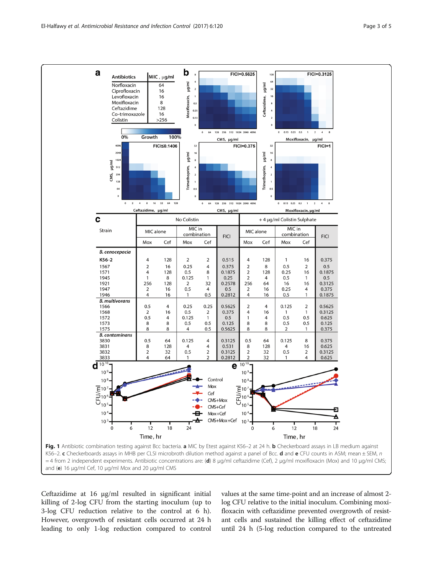<span id="page-2-0"></span>

Ceftazidime at 16 μg/ml resulted in significant initial killing of 2-log CFU from the starting inoculum (up to 3-log CFU reduction relative to the control at 6 h). However, overgrowth of resistant cells occurred at 24 h leading to only 1-log reduction compared to control

values at the same time-point and an increase of almost 2 log CFU relative to the initial inoculum. Combining moxifloxacin with ceftazidime prevented overgrowth of resistant cells and sustained the killing effect of ceftazidime until 24 h (5-log reduction compared to the untreated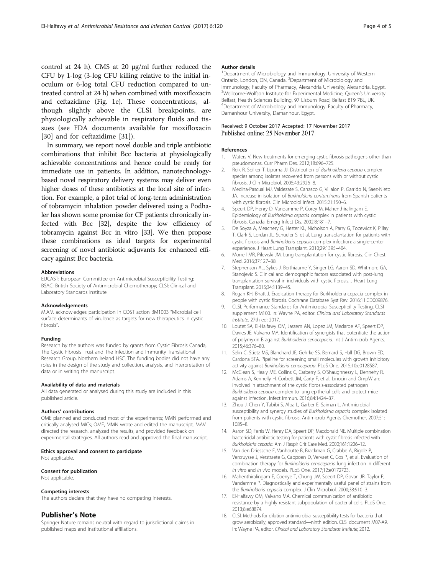<span id="page-3-0"></span>control at 24 h). CMS at 20 μg/ml further reduced the CFU by 1-log (3-log CFU killing relative to the initial inoculum or 6-log total CFU reduction compared to untreated control at 24 h) when combined with moxifloxacin and ceftazidime (Fig. [1e](#page-2-0)). These concentrations, although slightly above the CLSI breakpoints, are physiologically achievable in respiratory fluids and tissues (see FDA documents available for moxifloxacin [[30\]](#page-4-0) and for ceftazidime [[31\]](#page-4-0)).

In summary, we report novel double and triple antibiotic combinations that inhibit Bcc bacteria at physiologically achievable concentrations and hence could be ready for immediate use in patients. In addition, nanotechnologybased novel respiratory delivery systems may deliver even higher doses of these antibiotics at the local site of infection. For example, a pilot trial of long-term administration of tobramycin inhalation powder delivered using a Podhaler has shown some promise for CF patients chronically infected with Bcc [\[32\]](#page-4-0), despite the low efficiency of tobramycin against Bcc in vitro [[33\]](#page-4-0). We then propose these combinations as ideal targets for experimental screening of novel antibiotic adjuvants for enhanced efficacy against Bcc bacteria.

#### **Abbreviations**

EUCAST: European Committee on Antimicrobial Susceptibility Testing; BSAC: British Society of Antimicrobial Chemotherapy; CLSI: Clinical and Laboratory Standards Institute

#### Acknowledgements

M.A.V. acknowledges participation in COST action BM1003 "Microbial cell surface determinants of virulence as targets for new therapeutics in cystic fibrosis".

#### Funding

Research by the authors was funded by grants from Cystic Fibrosis Canada, The Cystic Fibrosis Trust and The Infection and Immunity Translational Research Group, Northern Ireland HSC. The funding bodies did not have any roles in the design of the study and collection, analysis, and interpretation of data or in writing the manuscript.

#### Availability of data and materials

All data generated or analysed during this study are included in this published article.

#### Authors' contributions

OME planned and conducted most of the experiments; MMN performed and critically analysed MICs; OME, MMN wrote and edited the manuscript. MAV directed the research, analyzed the results, and provided feedback on experimental strategies. All authors read and approved the final manuscript.

#### Ethics approval and consent to participate

Not applicable.

#### Consent for publication

Not applicable.

#### Competing interests

The authors declare that they have no competing interests.

#### Publisher's Note

Springer Nature remains neutral with regard to jurisdictional claims in published maps and institutional affiliations.

#### Author details

<sup>1</sup>Department of Microbiology and Immunology, University of Western Ontario, London, ON, Canada. <sup>2</sup> Department of Microbiology and Immunology, Faculty of Pharmacy, Alexandria University, Alexandria, Egypt. <sup>3</sup>Wellcome-Wolfson Institute for Experimental Medicine, Queen's University Belfast, Health Sciences Building, 97 Lisburn Road, Belfast BT9 7BL, UK. 4 Department of Microbiology and Immunology, Faculty of Pharmacy, Damanhour University, Damanhour, Egypt.

### Received: 9 October 2017 Accepted: 17 November 2017 Published online: 25 November 2017

#### References

- 1. Waters V. New treatments for emerging cystic fibrosis pathogens other than pseudomonas. Curr Pharm Des. 2012;18:696–725.
- 2. Reik R, Spilker T, Lipuma JJ. Distribution of Burkholderia cepacia complex species among isolates recovered from persons with or without cystic fibrosis. J Clin Microbiol. 2005;43:2926–8.
- 3. Medina-Pascual MJ, Valdezate S, Carrasco G, Villalon P, Garrido N, Saez-Nieto JA. Increase in isolation of Burkholderia contaminans from Spanish patients with cystic fibrosis. Clin Microbiol Infect. 2015;21:150–6.
- 4. Speert DP, Henry D, Vandamme P, Corey M, Mahenthiralingam E. Epidemiology of Burkholderia cepacia complex in patients with cystic fibrosis, Canada. Emerg Infect Dis. 2002;8:181–7.
- 5. De Soyza A, Meachery G, Hester KL, Nicholson A, Parry G, Tocewicz K, Pillay T, Clark S, Lordan JL, Schueler S, et al. Lung transplantation for patients with cystic fibrosis and Burkholderia cepacia complex infection: a single-center experience. J Heart Lung Transplant. 2010;29:1395–404.
- 6. Morrell MR, Pilewski JM. Lung transplantation for cystic fibrosis. Clin Chest Med. 2016;37:127–38.
- 7. Stephenson AL, Sykes J, Berthiaume Y, Singer LG, Aaron SD, Whitmore GA, Stanojevic S. Clinical and demographic factors associated with post-lung transplantation survival in individuals with cystic fibrosis. J Heart Lung Transplant. 2015;34:1139–45.
- 8. Regan KH, Bhatt J. Eradication therapy for Burkholderia cepacia complex in people with cystic fibrosis. Cochrane Database Syst Rev. 2016;11:CD009876.
- 9. CLSI. Performance Standards for Antimicrobial Susceptibility Testing. CLSI supplement M100. In: Wayne PA, editor. Clinical and Laboratory Standards Institute. 27th ed; 2017.
- 10. Loutet SA, El-Halfawy OM, Jassem AN, Lopez JM, Medarde AF, Speert DP, Davies JE, Valvano MA. Identification of synergists that potentiate the action of polymyxin B against Burkholderia cenocepacia. Int J Antimicrob Agents. 2015;46:376–80.
- 11. Selin C, Stietz MS, Blanchard JE, Gehrke SS, Bernard S, Hall DG, Brown ED, Cardona STA. Pipeline for screening small molecules with growth inhibitory activity against Burkholderia cenocepacia. PLoS One. 2015;10:e0128587.
- 12. McClean S, Healy ME, Collins C, Carberry S, O'Shaughnessy L, Dennehy R, Adams A, Kennelly H, Corbett JM, Carty F, et al. Linocin and OmpW are involved in attachment of the cystic fibrosis-associated pathogen Burkholderia cepacia complex to lung epithelial cells and protect mice against infection. Infect Immun. 2016;84:1424–37.
- 13. Zhou J, Chen Y, Tabibi S, Alba L, Garber E, Saiman L. Antimicrobial susceptibility and synergy studies of Burkholderia cepacia complex isolated from patients with cystic fibrosis. Antimicrob Agents Chemother. 2007;51: 1085–8.
- 14. Aaron SD, Ferris W, Henry DA, Speert DP, Macdonald NE. Multiple combination bactericidal antibiotic testing for patients with cystic fibrosis infected with Burkholderia cepacia. Am J Respir Crit Care Med. 2000;161:1206–12.
- 15. Van den Driessche F, Vanhoutte B, Brackman G, Crabbe A, Rigole P, Vercruysse J, Verstraete G, Cappoen D, Vervaet C, Cos P, et al. Evaluation of combination therapy for Burkholderia cenocepacia lung infection in different in vitro and in vivo models. PLoS One. 2017;12:e0172723.
- 16. Mahenthiralingam E, Coenye T, Chung JW, Speert DP, Govan JR, Taylor P, Vandamme P. Diagnostically and experimentally useful panel of strains from the Burkholderia cepacia complex. J Clin Microbiol. 2000;38:910–3.
- 17. El-Halfawy OM, Valvano MA. Chemical communication of antibiotic resistance by a highly resistant subpopulation of bacterial cells. PLoS One. 2013;8:e68874.
- 18. CLSI. Methods for dilution antimicrobial susceptibility tests for bacteria that grow aerobically; approved standard—ninth edition. CLSI document M07-A9. In: Wayne PA, editor. Clinical and Laboratory Standards Institute; 2012.